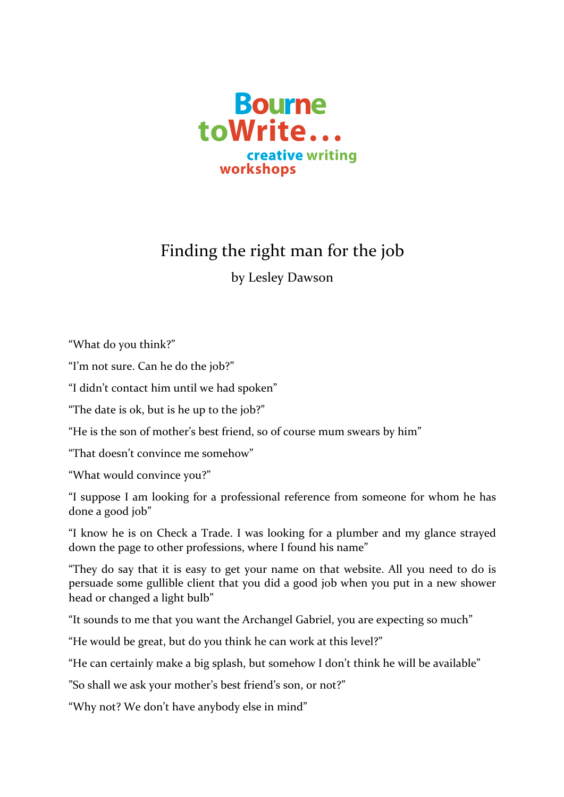

## Finding the right man for the job

by Lesley Dawson

"What do you think?"

"I'm not sure. Can he do the job?"

"I didn't contact him until we had spoken"

"The date is ok, but is he up to the job?"

"He is the son of mother's best friend, so of course mum swears by him"

"That doesn't convince me somehow"

"What would convince you?"

"I suppose I am looking for a professional reference from someone for whom he has done a good job"

"I know he is on Check a Trade. I was looking for a plumber and my glance strayed down the page to other professions, where I found his name"

"They do say that it is easy to get your name on that website. All you need to do is persuade some gullible client that you did a good job when you put in a new shower head or changed a light bulb"

"It sounds to me that you want the Archangel Gabriel, you are expecting so much"

"He would be great, but do you think he can work at this level?"

"He can certainly make a big splash, but somehow I don't think he will be available"

"So shall we ask your mother's best friend's son, or not?"

"Why not? We don't have anybody else in mind"